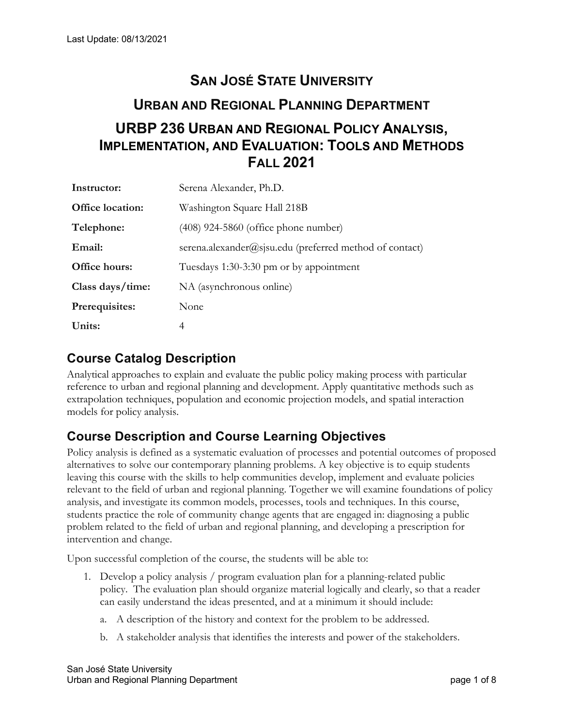# **URBP 236 URBAN AND REGIONAL POLICY ANALYSIS, SAN JOSÉ STATE UNIVERSITY URBAN AND REGIONAL PLANNING DEPARTMENT IMPLEMENTATION, AND EVALUATION: TOOLS AND METHODS FALL 2021**

| Instructor:      | Serena Alexander, Ph.D.                                 |
|------------------|---------------------------------------------------------|
| Office location: | Washington Square Hall 218B                             |
| Telephone:       | $(408)$ 924-5860 (office phone number)                  |
| Email:           | serena.alexander@sisu.edu (preferred method of contact) |
| Office hours:    | Tuesdays 1:30-3:30 pm or by appointment                 |
| Class days/time: | NA (asynchronous online)                                |
| Prerequisites:   | None                                                    |
| Units:           | 4                                                       |

# **Course Catalog Description**

 models for policy analysis. Analytical approaches to explain and evaluate the public policy making process with particular reference to urban and regional planning and development. Apply quantitative methods such as extrapolation techniques, population and economic projection models, and spatial interaction

# **Course Description and Course Learning Objectives**

Policy analysis is defined as a systematic evaluation of processes and potential outcomes of proposed alternatives to solve our contemporary planning problems. A key objective is to equip students leaving this course with the skills to help communities develop, implement and evaluate policies relevant to the field of urban and regional planning. Together we will examine foundations of policy analysis, and investigate its common models, processes, tools and techniques. In this course, students practice the role of community change agents that are engaged in: diagnosing a public problem related to the field of urban and regional planning, and developing a prescription for

intervention and change. Upon successful completion of the course, the students will be able to:

- policy. The evaluation plan should organize material logically and clearly, so that a reader 1. Develop a policy analysis / program evaluation plan for a planning-related public
	- can easily understand the ideas presented, and at a minimum it should include: a. A description of the history and context for the problem to be addressed.
	- b. A stakeholder analysis that identifies the interests and power of the stakeholders.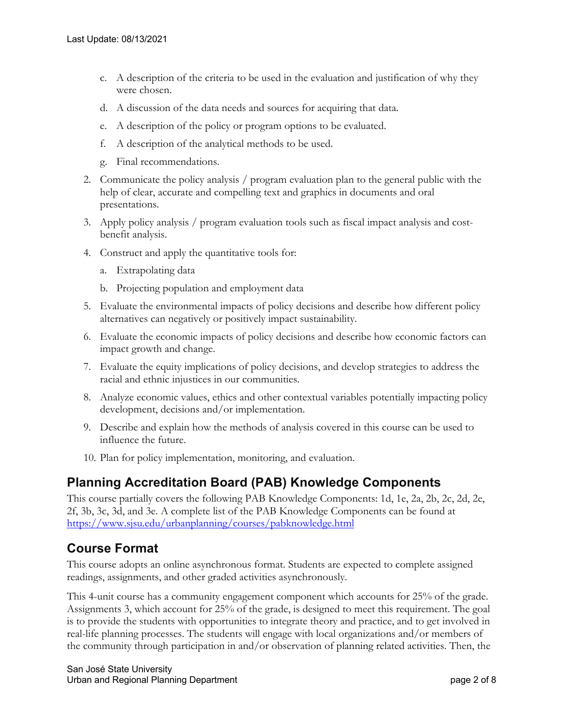- c. A description of the criteria to be used in the evaluation and justification of why they were chosen.
- d. A discussion of the data needs and sources for acquiring that data.
- e. A description of the policy or program options to be evaluated.
- f. A description of the analytical methods to be used.
- g. Final recommendations.
- 2. Communicate the policy analysis / program evaluation plan to the general public with the help of clear, accurate and compelling text and graphics in documents and oral presentations.
- benefit analysis. 3. Apply policy analysis / program evaluation tools such as fiscal impact analysis and cost-
- 4. Construct and apply the quantitative tools for:
	- a. Extrapolating data
	- b. Projecting population and employment data
- alternatives can negatively or positively impact sustainability. 5. Evaluate the environmental impacts of policy decisions and describe how different policy
- impact growth and change. 6. Evaluate the economic impacts of policy decisions and describe how economic factors can
- racial and ethnic injustices in our communities. 7. Evaluate the equity implications of policy decisions, and develop strategies to address the
- 8. Analyze economic values, ethics and other contextual variables potentially impacting policy development, decisions and/or implementation.
- influence the future. 9. Describe and explain how the methods of analysis covered in this course can be used to
- 10. Plan for policy implementation, monitoring, and evaluation.

# **Planning Accreditation Board (PAB) Knowledge Components**

This course partially covers the following PAB Knowledge Components: 1d, 1e, 2a, 2b, 2c, 2d, 2e, 2f, 3b, 3c, 3d, and 3e. A complete list of the PAB Knowledge Components can be found at <https://www.sjsu.edu/urbanplanning/courses/pabknowledge.html>

# **Course Format**

 This course adopts an online asynchronous format. Students are expected to complete assigned readings, assignments, and other graded activities asynchronously.

This 4-unit course has a community engagement component which accounts for 25% of the grade. Assignments 3, which account for 25% of the grade, is designed to meet this requirement. The goal is to provide the students with opportunities to integrate theory and practice, and to get involved in real-life planning processes. The students will engage with local organizations and/or members of the community through participation in and/or observation of planning related activities. Then, the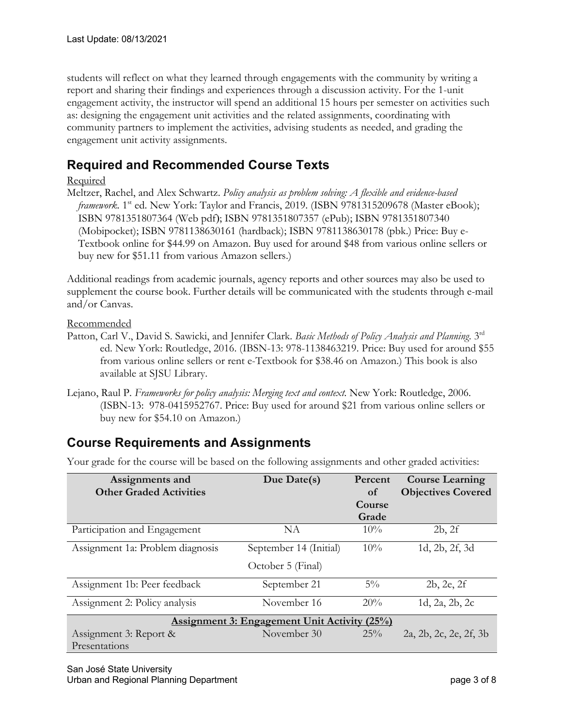report and sharing their findings and experiences through a discussion activity. For the 1-unit engagement unit activity assignments. students will reflect on what they learned through engagements with the community by writing a engagement activity, the instructor will spend an additional 15 hours per semester on activities such as: designing the engagement unit activities and the related assignments, coordinating with community partners to implement the activities, advising students as needed, and grading the

# **Required and Recommended Course Texts**

#### **Required**

 Meltzer, Rachel, and Alex Schwartz. *Policy analysis as problem solving: A flexible and evidence-based*  (Mobipocket); ISBN 9781138630161 (hardback); ISBN 9781138630178 (pbk.) Price: Buy e- Textbook online for \$44.99 on Amazon. Buy used for around \$48 from various online sellers or buy new for \$51.11 from various Amazon sellers.) *framework*. 1<sup>st</sup> ed. New York: Taylor and Francis, 2019. (ISBN 9781315209678 (Master eBook); ISBN 9781351807364 (Web pdf); ISBN 9781351807357 (ePub); ISBN 9781351807340

 Additional readings from academic journals, agency reports and other sources may also be used to supplement the course book. Further details will be communicated with the students through e-mail and/or Canvas.

Recommended

- from various online sellers or rent e-Textbook for \$38.46 on Amazon.) This book is also Patton, Carl V., David S. Sawicki, and Jennifer Clark. *Basic Methods of Policy Analysis and Planning*. 3rd ed. New York: Routledge, 2016. (IBSN-13: 978-1138463219. Price: Buy used for around \$55 available at SJSU Library.
- Lejano, Raul P. *Frameworks for policy analysis: Merging text and context.* New York: Routledge, 2006. (ISBN-13: 978-0415952767. Price: Buy used for around \$21 from various online sellers or buy new for \$54.10 on Amazon.)

# **Course Requirements and Assignments**

Your grade for the course will be based on the following assignments and other graded activities:

| Assignments and<br><b>Other Graded Activities</b>   | Due Date(s)            | Percent<br>of   | <b>Course Learning</b><br><b>Objectives Covered</b> |  |  |  |  |
|-----------------------------------------------------|------------------------|-----------------|-----------------------------------------------------|--|--|--|--|
|                                                     |                        | Course<br>Grade |                                                     |  |  |  |  |
| Participation and Engagement                        | NA                     | 10%             | 2b, 2f                                              |  |  |  |  |
| Assignment 1a: Problem diagnosis                    | September 14 (Initial) | $10\%$          | 1d, 2b, 2f, 3d                                      |  |  |  |  |
|                                                     | October 5 (Final)      |                 |                                                     |  |  |  |  |
| Assignment 1b: Peer feedback                        | September 21           | $5\%$           | 2b, 2e, 2f                                          |  |  |  |  |
| Assignment 2: Policy analysis                       | November 16            | 20%             | 1d, 2a, 2b, 2c                                      |  |  |  |  |
| <b>Assignment 3: Engagement Unit Activity (25%)</b> |                        |                 |                                                     |  |  |  |  |
| Assignment 3: Report &<br>Presentations             | November 30            | 25%             | 2a, 2b, 2c, 2e, 2f, 3b                              |  |  |  |  |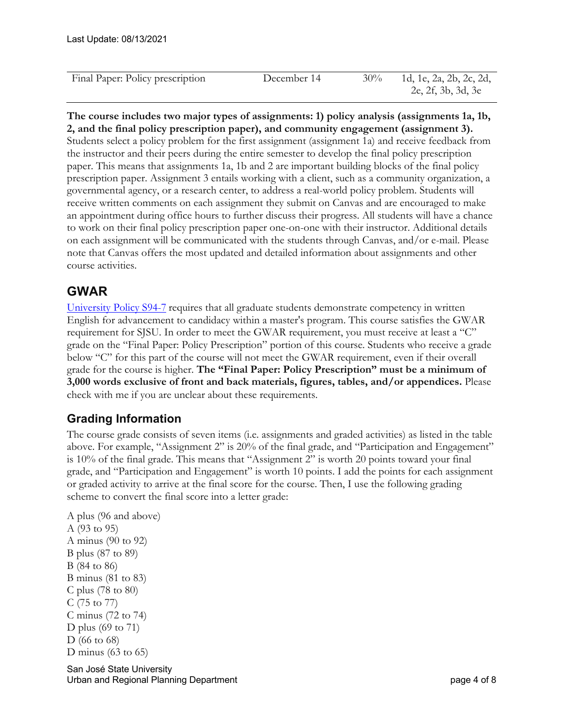| Final Paper: Policy prescription | December 14 | $30\%$ | 1d, 1e, 2a, 2b, 2c, 2d, |
|----------------------------------|-------------|--------|-------------------------|
|                                  |             |        | 2e, 2f, 3b, 3d, 3e      |
|                                  |             |        |                         |

#### **The course includes two major types of assignments: 1) policy analysis (assignments 1a, 1b, 2, and the final policy prescription paper), and community engagement (assignment 3).**

 prescription paper. Assignment 3 entails working with a client, such as a community organization, a to work on their final policy prescription paper one-on-one with their instructor. Additional details on each assignment will be communicated with the students through Canvas, and/or e-mail. Please Students select a policy problem for the first assignment (assignment 1a) and receive feedback from the instructor and their peers during the entire semester to develop the final policy prescription paper. This means that assignments 1a, 1b and 2 are important building blocks of the final policy governmental agency, or a research center, to address a real-world policy problem. Students will receive written comments on each assignment they submit on Canvas and are encouraged to make an appointment during office hours to further discuss their progress. All students will have a chance note that Canvas offers the most updated and detailed information about assignments and other course activities.

# **GWAR**

 grade for the course is higher. **The "Final Paper: Policy Prescription" must be a minimum of**  check with me if you are unclear about these requirements. University Policy S94-7 requires that all graduate students demonstrate competency in written English for advancement to candidacy within a master's program. This course satisfies the GWAR requirement for SJSU. In order to meet the GWAR requirement, you must receive at least a "C" grade on the "Final Paper: Policy Prescription" portion of this course. Students who receive a grade below "C" for this part of the course will not meet the GWAR requirement, even if their overall **3,000 words exclusive of front and back materials, figures, tables, and/or appendices.** Please

## **Grading Information**

 The course grade consists of seven items (i.e. assignments and graded activities) as listed in the table above. For example, "Assignment 2" is 20% of the final grade, and "Participation and Engagement" is 10% of the final grade. This means that "Assignment 2" is worth 20 points toward your final grade, and "Participation and Engagement" is worth 10 points. I add the points for each assignment or graded activity to arrive at the final score for the course. Then, I use the following grading scheme to convert the final score into a letter grade:

```
 
A plus (96 and above) 

A minus (90 to 92) 

B plus (87 to 89) 

B minus (81 to 83) 

C plus (78 to 80) 

C (75 to 77) 

C minus (72 to 74) 

D plus (69 to 71) 
D minus (63 \text{ to } 65)A (93 to 95) 
B (84 to 86) 
D (66 to 68)
```
 San José State University Urban and Regional Planning Department **page 4 of 8** and 9 of 8 and 9 of 8 and 9 of 8 and 9 of 8 and 9 of 8 and 9 of 8 and 9 of 8 and 9 of 8 and 9 of 8 and 9 of 8 and 9 of 8 and 9 of 8 and 9 of 8 and 9 of 8 and 9 of 8 and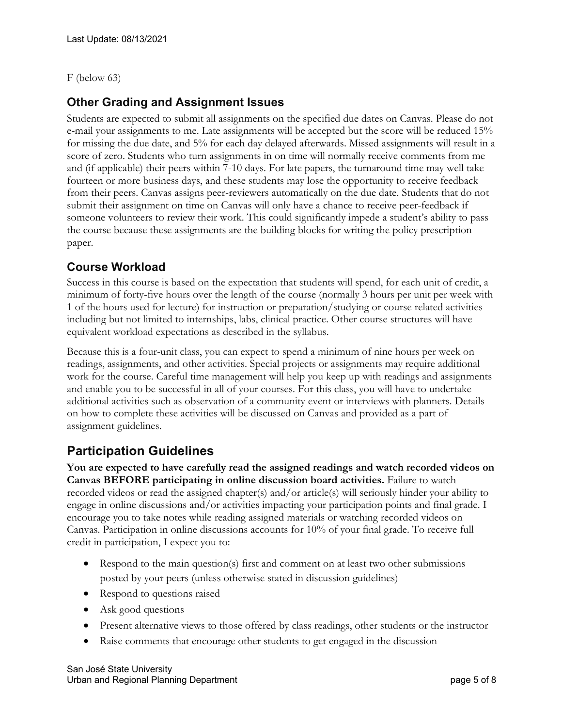#### F (below 63)

### **Other Grading and Assignment Issues**

 Students are expected to submit all assignments on the specified due dates on Canvas. Please do not score of zero. Students who turn assignments in on time will normally receive comments from me and (if applicable) their peers within 7-10 days. For late papers, the turnaround time may well take someone volunteers to review their work. This could significantly impede a student's ability to pass e-mail your assignments to me. Late assignments will be accepted but the score will be reduced 15% for missing the due date, and 5% for each day delayed afterwards. Missed assignments will result in a fourteen or more business days, and these students may lose the opportunity to receive feedback from their peers. Canvas assigns peer-reviewers automatically on the due date. Students that do not submit their assignment on time on Canvas will only have a chance to receive peer-feedback if the course because these assignments are the building blocks for writing the policy prescription paper.

### **Course Workload**

Success in this course is based on the expectation that students will spend, for each unit of credit, a minimum of forty-five hours over the length of the course (normally 3 hours per unit per week with 1 of the hours used for lecture) for instruction or preparation/studying or course related activities including but not limited to internships, labs, clinical practice. Other course structures will have equivalent workload expectations as described in the syllabus.

 Because this is a four-unit class, you can expect to spend a minimum of nine hours per week on readings, assignments, and other activities. Special projects or assignments may require additional work for the course. Careful time management will help you keep up with readings and assignments and enable you to be successful in all of your courses. For this class, you will have to undertake additional activities such as observation of a community event or interviews with planners. Details on how to complete these activities will be discussed on Canvas and provided as a part of assignment guidelines.

# **Participation Guidelines**

 **Canvas BEFORE participating in online discussion board activities.** Failure to watch recorded videos or read the assigned chapter(s) and/or article(s) will seriously hinder your ability to engage in online discussions and/or activities impacting your participation points and final grade. I Canvas. Participation in online discussions accounts for 10% of your final grade. To receive full credit in participation, I expect you to: **You are expected to have carefully read the assigned readings and watch recorded videos on** encourage you to take notes while reading assigned materials or watching recorded videos on

- posted by your peers (unless otherwise stated in discussion guidelines) • Respond to the main question(s) first and comment on at least two other submissions
- Respond to questions raised
- Ask good questions
- Present alternative views to those offered by class readings, other students or the instructor
- Raise comments that encourage other students to get engaged in the discussion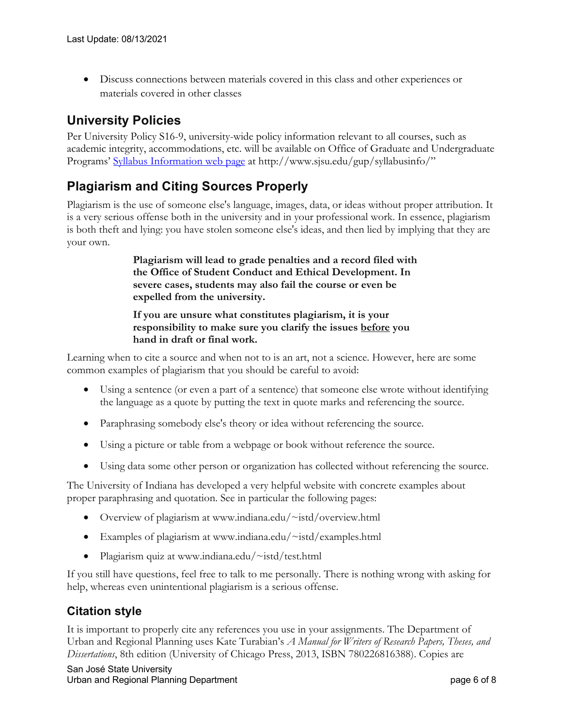• Discuss connections between materials covered in this class and other experiences or materials covered in other classes

# **University Policies**

Per University Policy S16-9, university-wide policy information relevant to all courses, such as academic integrity, accommodations, etc. will be available on Office of Graduate and Undergraduate Programs' Syllabus Information web page at <http://www.sjsu.edu/gup/syllabusinfo>/"

# **Plagiarism and Citing Sources Properly**

Plagiarism is the use of someone else's language, images, data, or ideas without proper attribution. It is a very serious offense both in the university and in your professional work. In essence, plagiarism is both theft and lying: you have stolen someone else's ideas, and then lied by implying that they are your own.

> **Plagiarism will lead to grade penalties and a record filed with the Office of Student Conduct and Ethical Development. In severe cases, students may also fail the course or even be expelled from the university.**

 **responsibility to make sure you clarify the issues before you If you are unsure what constitutes plagiarism, it is your hand in draft or final work.** 

Learning when to cite a source and when not to is an art, not a science. However, here are some common examples of plagiarism that you should be careful to avoid:

- • Using a sentence (or even a part of a sentence) that someone else wrote without identifying the language as a quote by putting the text in quote marks and referencing the source.
- Paraphrasing somebody else's theory or idea without referencing the source.
- Using a picture or table from a webpage or book without reference the source.
- Using data some other person or organization has collected without referencing the source.

The University of Indiana has developed a very helpful website with concrete examples about proper paraphrasing and quotation. See in particular the following pages:

- Overview of plagiarism at <www.indiana.edu/~istd/overview.html>
- Examples of plagiarism at www.indiana.edu/~istd/examples.html
- Plagiarism quiz at www.indiana.edu/~istd/test.html

 help, whereas even unintentional plagiarism is a serious offense. If you still have questions, feel free to talk to me personally. There is nothing wrong with asking for

## **Citation style**

It is important to properly cite any references you use in your assignments. The Department of Urban and Regional Planning uses Kate Turabian's *A Manual for Writers of Research Papers, Theses, and Dissertations*, 8th edition (University of Chicago Press, 2013, ISBN 780226816388). Copies are

 San José State University Urban and Regional Planning Department page 6 of 8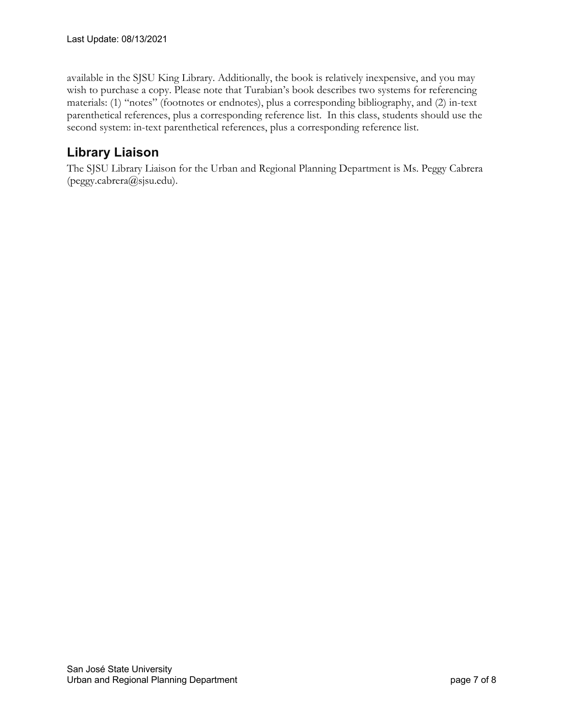second system: in-text parenthetical references, plus a corresponding reference list. available in the SJSU King Library. Additionally, the book is relatively inexpensive, and you may wish to purchase a copy. Please note that Turabian's book describes two systems for referencing materials: (1) "notes" (footnotes or endnotes), plus a corresponding bibliography, and (2) in-text parenthetical references, plus a corresponding reference list. In this class, students should use the

# **Library Liaison**

The SJSU Library Liaison for the Urban and Regional Planning Department is Ms. Peggy Cabrera [\(peggy.cabrera@sjsu.edu\)](mailto:peggy.cabrera@sjsu.edu).